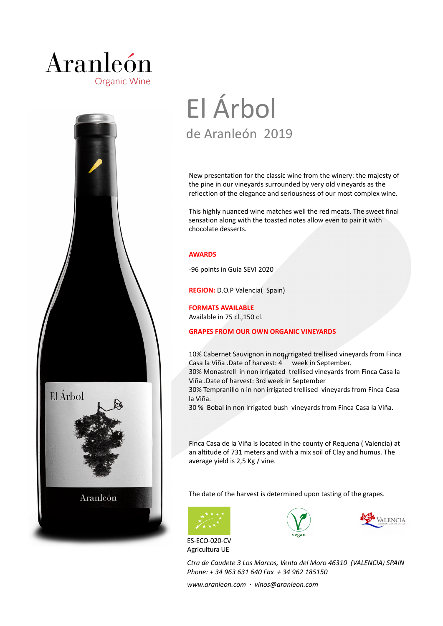## Aranleón **Organic Wine**



# El Árbol de Aranleón 2019

New presentation for the classic wine from the winery: the majesty of the pine in our vineyards surrounded by very old vineyards as the reflection of the elegance and seriousness of our most complex wine.

This highly nuanced wine matches well the red meats. The sweet final sensation along with the toasted notes allow even to pair it with chocolate desserts.

### **AWARDS**

-96 points in Guía SEVI 2020

**REGION:** D.O.P Valencia( Spain)

**FORMATS AVAILABLE** Available in 75 cl.,150 cl.

### **GRAPES FROM OUR OWN ORGANIC VINEYARDS**

10% Cabernet Sauvignon in non *i*rrigated trellised vineyards from Finca Casa la Viña .Date of harvest: 4 week in September. 30% Monastrell in non irrigated trellised vineyards from Finca Casa la Viña .Date of harvest: 3rd week in September 30% Tempranillo n in non irrigated trellised vineyards from Finca Casa la Viña. 30 % Bobal in non irrigated bush vineyards from Finca Casa la Viña.

Finca Casa de la Viña is located in the county of Requena ( Valencia) at an altitude of 731 meters and with a mix soil of Clay and humus. The average yield is 2,5 Kg / vine.

The date of the harvest is determined upon tasting of the grapes.



ES-ECO-020-CV Agricultura UE





*Ctra de Caudete 3 Los Marcos, Venta del Moro 46310 (VALENCIA) SPAIN Phone: + 34 963 631 640 Fax + 34 962 185150* 

*www.aranleon.com · vinos@aranleon.com*